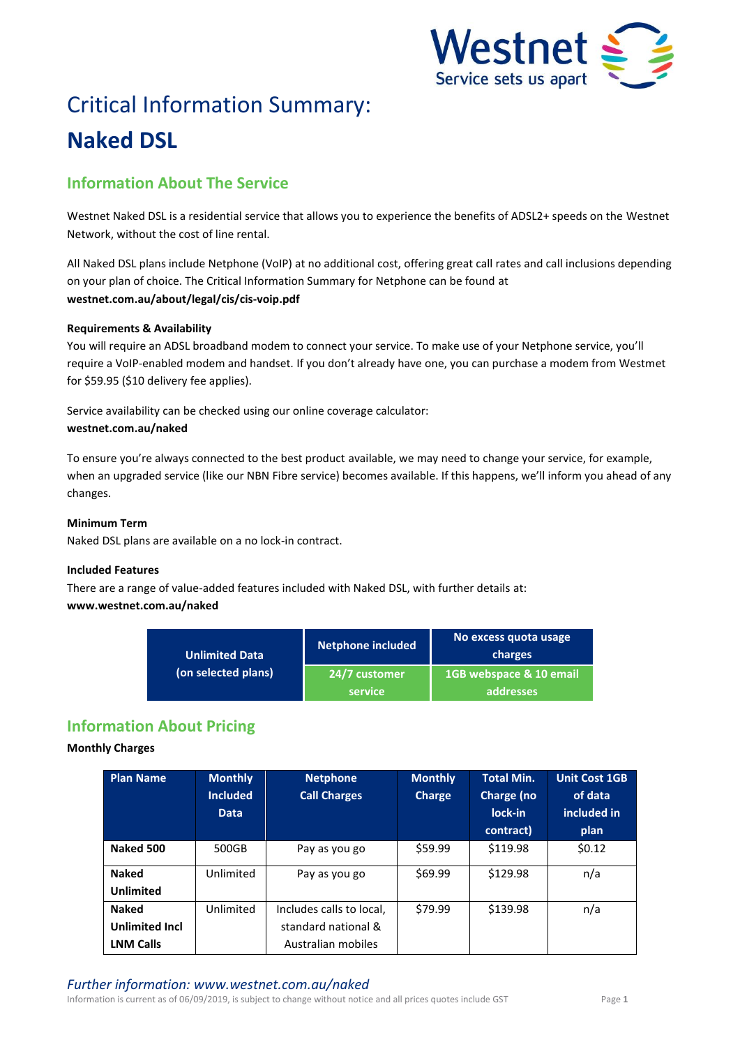

# Critical Information Summary: **Naked DSL**

# **Information About The Service**

Westnet Naked DSL is a residential service that allows you to experience the benefits of ADSL2+ speeds on the Westnet Network, without the cost of line rental.

All Naked DSL plans include Netphone (VoIP) at no additional cost, offering great call rates and call inclusions depending on your plan of choice. The Critical Information Summary for Netphone can be found at **westnet.com.au/about/legal/cis/cis-voip.pdf**

## **Requirements & Availability**

You will require an ADSL broadband modem to connect your service. To make use of your Netphone service, you'll require a VoIP-enabled modem and handset. If you don't already have one, you can purchase a modem from Westmet for \$59.95 (\$10 delivery fee applies).

Service availability can be checked using our online coverage calculator: **westnet.com.au/naked**

To ensure you're always connected to the best product available, we may need to change your service, for example, when an upgraded service (like our NBN Fibre service) becomes available. If this happens, we'll inform you ahead of any changes.

# **Minimum Term**

Naked DSL plans are available on a no lock-in contract.

## **Included Features**

There are a range of value-added features included with Naked DSL, with further details at: **www.westnet.com.au/naked**

| Unlimited Data<br>(on selected plans) | <b>Netphone included</b> | No excess quota usage<br>charges     |  |
|---------------------------------------|--------------------------|--------------------------------------|--|
|                                       | 24/7 customer<br>service | 1GB webspace & 10 email<br>addresses |  |

# **Information About Pricing**

## **Monthly Charges**

| <b>Plan Name</b>                 | <b>Monthly</b><br><b>Included</b><br><b>Data</b> | <b>Netphone</b><br><b>Call Charges</b> | <b>Monthly</b><br><b>Charge</b> | <b>Total Min.</b><br>Charge (no<br>lock-in<br>contract) | <b>Unit Cost 1GB</b><br>of data<br>included in<br>plan |
|----------------------------------|--------------------------------------------------|----------------------------------------|---------------------------------|---------------------------------------------------------|--------------------------------------------------------|
| Naked 500                        | 500GB                                            | Pay as you go                          | \$59.99                         | \$119.98                                                | \$0.12                                                 |
| <b>Naked</b><br><b>Unlimited</b> | Unlimited                                        | Pay as you go                          | \$69.99                         | \$129.98                                                | n/a                                                    |
| <b>Naked</b>                     | Unlimited                                        | Includes calls to local,               | \$79.99                         | \$139.98                                                | n/a                                                    |
| <b>Unlimited Incl</b>            |                                                  | standard national &                    |                                 |                                                         |                                                        |
| <b>LNM Calls</b>                 |                                                  | Australian mobiles                     |                                 |                                                         |                                                        |

Information is current as of 06/09/2019, is subject to change without notice and all prices quotes include GST Page **1**